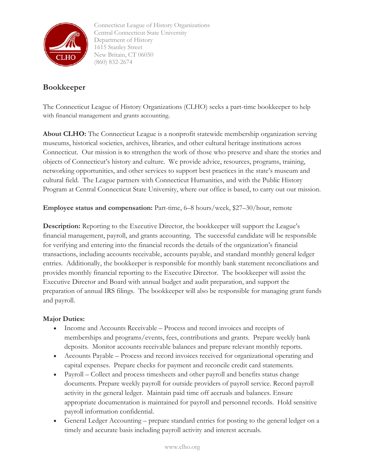

Connecticut League of History Organizations Central Connecticut State University Department of History 1615 Stanley Street New Britain, CT 06050 (860) 832-2674

## **Bookkeeper**

The Connecticut League of History Organizations (CLHO) seeks a part-time bookkeeper to help with financial management and grants accounting.

**About CLHO:** The Connecticut League is a nonprofit statewide membership organization serving museums, historical societies, archives, libraries, and other cultural heritage institutions across Connecticut. Our mission is **t**o strengthen the work of those who preserve and share the stories and objects of Connecticut's history and culture. We provide advice, resources, programs, training, networking opportunities, and other services to support best practices in the state's museum and cultural field. The League partners with Connecticut Humanities, and with the Public History Program at Central Connecticut State University, where our office is based, to carry out our mission.

**Employee status and compensation:** Part-time, 6–8 hours/week, \$27–30/hour, remote

**Description:** Reporting to the Executive Director, the bookkeeper will support the League's financial management, payroll, and grants accounting. The successful candidate will be responsible for verifying and entering into the financial records the details of the organization's financial transactions, including accounts receivable, accounts payable, and standard monthly general ledger entries. Additionally, the bookkeeper is responsible for monthly bank statement reconciliations and provides monthly financial reporting to the Executive Director. The bookkeeper will assist the Executive Director and Board with annual budget and audit preparation, and support the preparation of annual IRS filings. The bookkeeper will also be responsible for managing grant funds and payroll.

## **Major Duties:**

- Income and Accounts Receivable Process and record invoices and receipts of memberships and programs/events, fees, contributions and grants. Prepare weekly bank deposits. Monitor accounts receivable balances and prepare relevant monthly reports.
- Accounts Payable Process and record invoices received for organizational operating and capital expenses. Prepare checks for payment and reconcile credit card statements.
- Payroll Collect and process timesheets and other payroll and benefits status change documents. Prepare weekly payroll for outside providers of payroll service. Record payroll activity in the general ledger. Maintain paid time off accruals and balances. Ensure appropriate documentation is maintained for payroll and personnel records. Hold sensitive payroll information confidential.
- General Ledger Accounting prepare standard entries for posting to the general ledger on a timely and accurate basis including payroll activity and interest accruals.